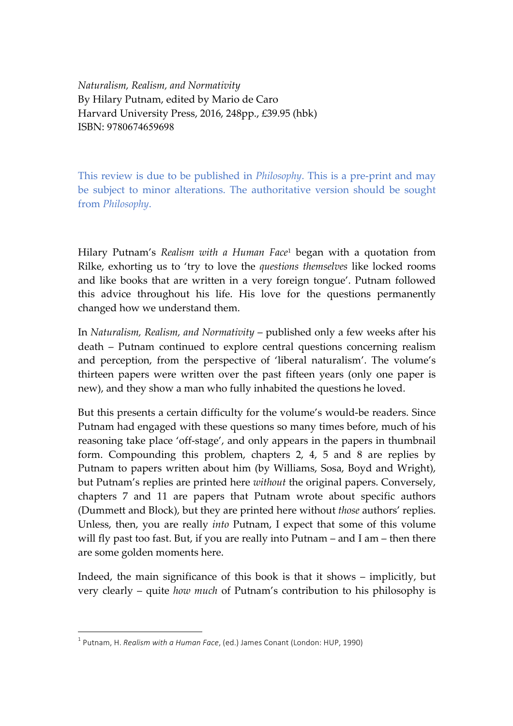*Naturalism, Realism, and Normativity* By Hilary Putnam, edited by Mario de Caro Harvard University Press, 2016, 248pp., £39.95 (hbk) ISBN: 9780674659698

This review is due to be published in *Philosophy*. This is a pre-print and may be subject to minor alterations. The authoritative version should be sought from *Philosophy*.

Hilary Putnam's *Realism with a Human Face*<sup>1</sup> began with a quotation from Rilke, exhorting us to 'try to love the *questions themselves* like locked rooms and like books that are written in a very foreign tongue'. Putnam followed this advice throughout his life. His love for the questions permanently changed how we understand them.

In *Naturalism, Realism, and Normativity* – published only a few weeks after his death – Putnam continued to explore central questions concerning realism and perception, from the perspective of 'liberal naturalism'. The volume's thirteen papers were written over the past fifteen years (only one paper is new), and they show a man who fully inhabited the questions he loved.

But this presents a certain difficulty for the volume's would-be readers. Since Putnam had engaged with these questions so many times before, much of his reasoning take place 'off-stage', and only appears in the papers in thumbnail form. Compounding this problem, chapters 2, 4, 5 and 8 are replies by Putnam to papers written about him (by Williams, Sosa, Boyd and Wright), but Putnam's replies are printed here *without* the original papers. Conversely, chapters 7 and 11 are papers that Putnam wrote about specific authors (Dummett and Block), but they are printed here without *those* authors' replies. Unless, then, you are really *into* Putnam, I expect that some of this volume will fly past too fast. But, if you are really into Putnam – and I am – then there are some golden moments here.

Indeed, the main significance of this book is that it shows – implicitly, but very clearly – quite *how much* of Putnam's contribution to his philosophy is

<sup>&</sup>lt;sup>1</sup> Putnam, H. *Realism with a Human Face*, (ed.) James Conant (London: HUP, 1990)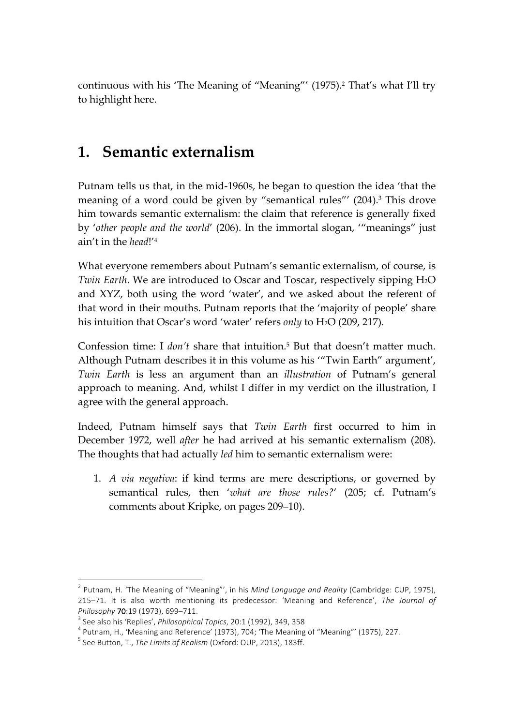continuous with his 'The Meaning of "Meaning"' (1975). <sup>2</sup> That's what I'll try to highlight here.

## **1. Semantic externalism**

Putnam tells us that, in the mid-1960s, he began to question the idea 'that the meaning of a word could be given by "semantical rules"' (204).<sup>3</sup> This drove him towards semantic externalism: the claim that reference is generally fixed by '*other people and the world*' (206). In the immortal slogan, '"meanings" just ain't in the *head*!'4

What everyone remembers about Putnam's semantic externalism, of course, is *Twin Earth*. We are introduced to Oscar and Toscar, respectively sipping H2O and XYZ, both using the word 'water', and we asked about the referent of that word in their mouths. Putnam reports that the 'majority of people' share his intuition that Oscar's word 'water' refers *only* to H<sub>2</sub>O (209, 217).

Confession time: I *don't* share that intuition. <sup>5</sup> But that doesn't matter much. Although Putnam describes it in this volume as his '"Twin Earth" argument', *Twin Earth* is less an argument than an *illustration* of Putnam's general approach to meaning. And, whilst I differ in my verdict on the illustration, I agree with the general approach.

Indeed, Putnam himself says that *Twin Earth* first occurred to him in December 1972, well *after* he had arrived at his semantic externalism (208). The thoughts that had actually *led* him to semantic externalism were:

1. *A via negativa*: if kind terms are mere descriptions, or governed by semantical rules, then '*what are those rules?*' (205; cf. Putnam's comments about Kripke, on pages 209–10).

 $<sup>2</sup>$  Putnam, H. 'The Meaning of "Meaning"', in his *Mind Language and Reality* (Cambridge: CUP, 1975),</sup> 215–71. It is also worth mentioning its predecessor: 'Meaning and Reference', The Journal of Philosophy 70:19 (1973), 699–711.<br><sup>3</sup> See also his 'Replies', *Philosophical Topics*, 20:1 (1992), 349, 358<br><sup>4</sup> Putnam, H., 'Meaning and Reference' (1973), 704; 'The Meaning of "Meaning"' (1975), 227.<br><sup>5</sup> See Button, T.,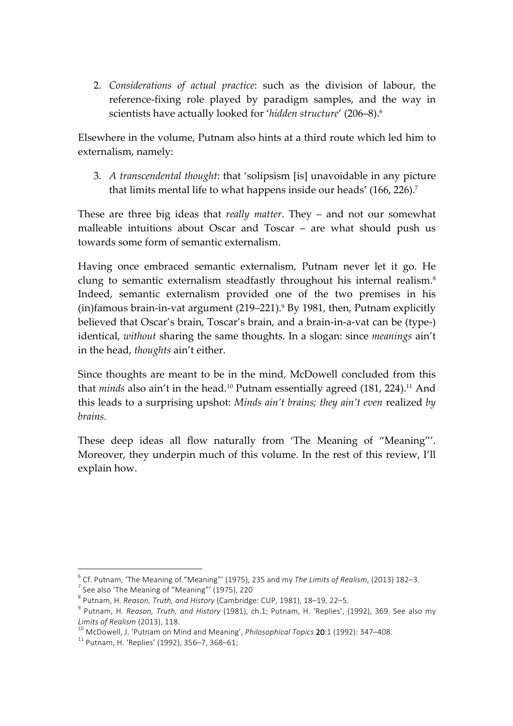2. *Considerations of actual practice*: such as the division of labour, the reference-fixing role played by paradigm samples, and the way in scientists have actually looked for '*hidden structure*' (206–8).6

Elsewhere in the volume, Putnam also hints at a third route which led him to externalism, namely:

3. *A transcendental thought*: that 'solipsism [is] unavoidable in any picture that limits mental life to what happens inside our heads' (166, 226). 7

These are three big ideas that *really matter*. They – and not our somewhat malleable intuitions about Oscar and Toscar – are what should push us towards some form of semantic externalism.

Having once embraced semantic externalism, Putnam never let it go. He clung to semantic externalism steadfastly throughout his internal realism. 8 Indeed, semantic externalism provided one of the two premises in his (in)famous brain-in-vat argument (219–221).9 By 1981, then, Putnam explicitly believed that Oscar's brain, Toscar's brain, and a brain-in-a-vat can be (type-) identical, *without* sharing the same thoughts. In a slogan: since *meanings* ain't in the head, *thoughts* ain't either.

Since thoughts are meant to be in the mind, McDowell concluded from this that *minds* also ain't in the head.<sup>10</sup> Putnam essentially agreed (181, 224).<sup>11</sup> And this leads to a surprising upshot: *Minds ain't brains; they ain't even* realized *by brains.*

These deep ideas all flow naturally from 'The Meaning of "Meaning"'. Moreover, they underpin much of this volume. In the rest of this review, I'll explain how.

<sup>&</sup>lt;sup>6</sup> Cf. Putnam, 'The Meaning of "Meaning"' (1975), 235 and my *The Limits of Realism*, (2013) 182–3.<br>
<sup>7</sup> See also 'The Meaning of "Meaning"' (1975), 220<br>
<sup>8</sup> Putnam, H. *Reason, Truth, and History* (Cambridge: CUP, 1981)

*Limits of Realism* (2013), 118.<br><sup>10</sup> McDowell, J. 'Putnam on Mind and Meaning', *Philosophical Topics* 20:1 (1992): 347–408.<br><sup>11</sup> Putnam, H. 'Replies' (1992), 356–7, 368–61;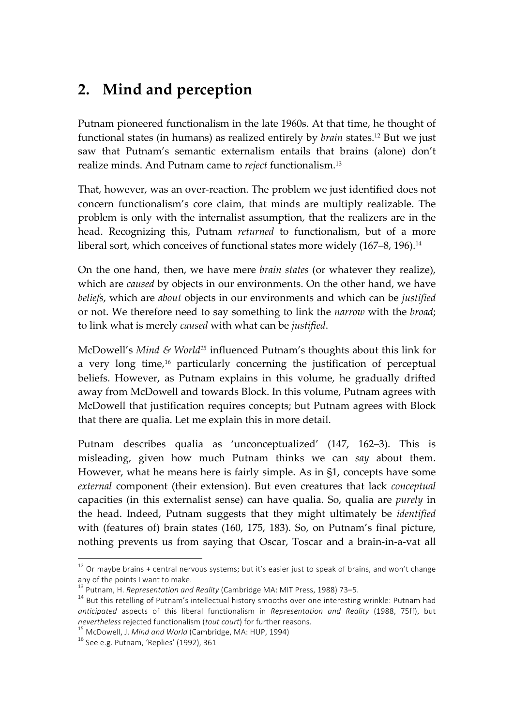# **2. Mind and perception**

Putnam pioneered functionalism in the late 1960s. At that time, he thought of functional states (in humans) as realized entirely by *brain* states.12 But we just saw that Putnam's semantic externalism entails that brains (alone) don't realize minds. And Putnam came to *reject* functionalism. 13

That, however, was an over-reaction. The problem we just identified does not concern functionalism's core claim, that minds are multiply realizable. The problem is only with the internalist assumption, that the realizers are in the head. Recognizing this, Putnam *returned* to functionalism, but of a more liberal sort, which conceives of functional states more widely (167–8, 196). 14

On the one hand, then, we have mere *brain states* (or whatever they realize), which are *caused* by objects in our environments. On the other hand, we have *beliefs*, which are *about* objects in our environments and which can be *justified* or not. We therefore need to say something to link the *narrow* with the *broad*; to link what is merely *caused* with what can be *justified*.

McDowell's *Mind & World15* influenced Putnam's thoughts about this link for a very long time, <sup>16</sup> particularly concerning the justification of perceptual beliefs. However, as Putnam explains in this volume, he gradually drifted away from McDowell and towards Block. In this volume, Putnam agrees with McDowell that justification requires concepts; but Putnam agrees with Block that there are qualia. Let me explain this in more detail.

Putnam describes qualia as 'unconceptualized' (147, 162–3). This is misleading, given how much Putnam thinks we can *say* about them. However, what he means here is fairly simple. As in §1, concepts have some *external* component (their extension). But even creatures that lack *conceptual* capacities (in this externalist sense) can have qualia. So, qualia are *purely* in the head. Indeed, Putnam suggests that they might ultimately be *identified* with (features of) brain states (160, 175, 183). So, on Putnam's final picture, nothing prevents us from saying that Oscar, Toscar and a brain-in-a-vat all

 $12$  Or maybe brains + central nervous systems; but it's easier just to speak of brains, and won't change any of the points I want to make.<br><sup>13</sup> Putnam, H. *Representation and Reality* (Cambridge MA: MIT Press, 1988) 73–5.<br><sup>14</sup> But this retelling of Putnam's intellectual history smooths over one interesting wrinkle: Putnam had

*anticipated* aspects of this liberal functionalism in *Representation and Reality* (1988, 75ff), but *nevertheless* rejected functionalism (*tout court*) for further reasons.<br><sup>15</sup> McDowell, J. *Mind and World* (Cambridge, MA: HUP, 1994) <sup>16</sup> See e.g. Putnam, 'Replies' (1992), 361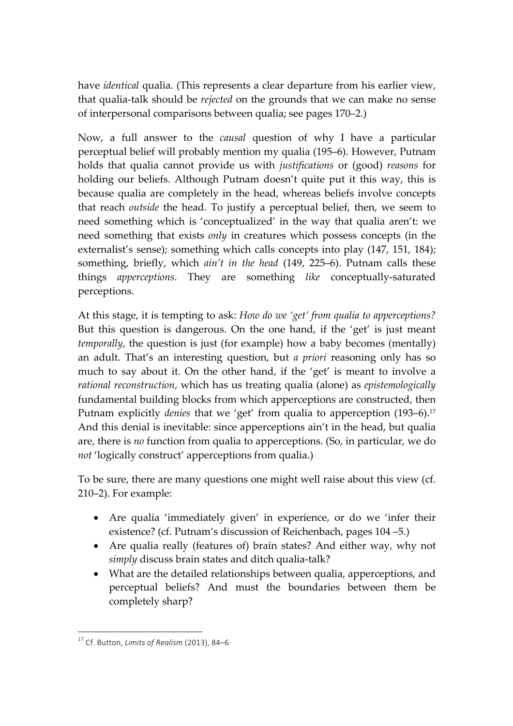have *identical* qualia. (This represents a clear departure from his earlier view, that qualia-talk should be *rejected* on the grounds that we can make no sense of interpersonal comparisons between qualia; see pages 170–2.)

Now, a full answer to the *causal* question of why I have a particular perceptual belief will probably mention my qualia (195–6). However, Putnam holds that qualia cannot provide us with *justifications* or (good) *reasons* for holding our beliefs. Although Putnam doesn't quite put it this way, this is because qualia are completely in the head, whereas beliefs involve concepts that reach *outside* the head. To justify a perceptual belief, then, we seem to need something which is 'conceptualized' in the way that qualia aren't: we need something that exists *only* in creatures which possess concepts (in the externalist's sense); something which calls concepts into play (147, 151, 184); something, briefly, which *ain't in the head* (149, 225–6). Putnam calls these things *apperceptions*. They are something *like* conceptually-saturated perceptions.

At this stage, it is tempting to ask: *How do we 'get' from qualia to apperceptions?* But this question is dangerous. On the one hand, if the 'get' is just meant *temporally*, the question is just (for example) how a baby becomes (mentally) an adult. That's an interesting question, but *a priori* reasoning only has so much to say about it. On the other hand, if the 'get' is meant to involve a *rational reconstruction*, which has us treating qualia (alone) as *epistemologically* fundamental building blocks from which apperceptions are constructed, then Putnam explicitly *denies* that we 'get' from qualia to apperception (193–6). 17 And this denial is inevitable: since apperceptions ain't in the head, but qualia are, there is *no* function from qualia to apperceptions. (So, in particular, we do *not* 'logically construct' apperceptions from qualia.)

To be sure, there are many questions one might well raise about this view (cf. 210–2). For example:

- Are qualia 'immediately given' in experience, or do we 'infer their existence? (cf. Putnam's discussion of Reichenbach, pages 104 –5.)
- Are qualia really (features of) brain states? And either way, why not *simply* discuss brain states and ditch qualia-talk?
- What are the detailed relationships between qualia, apperceptions, and perceptual beliefs? And must the boundaries between them be completely sharp?

<sup>&</sup>lt;sup>17</sup> Cf. Button, *Limits of Realism* (2013), 84-6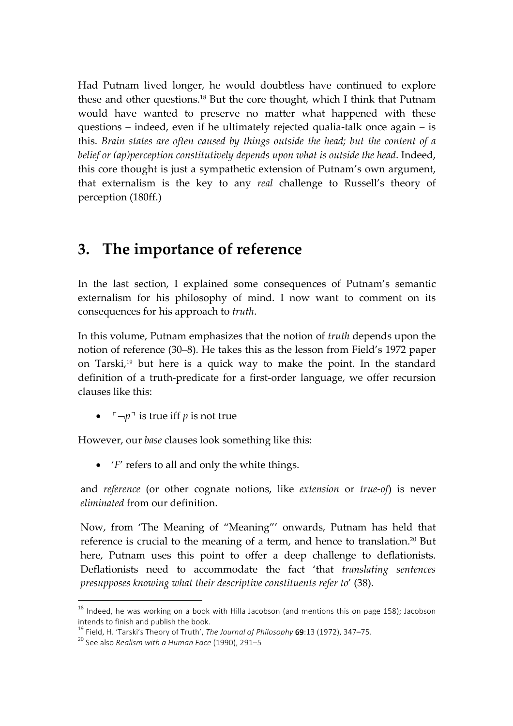Had Putnam lived longer, he would doubtless have continued to explore these and other questions. <sup>18</sup> But the core thought, which I think that Putnam would have wanted to preserve no matter what happened with these questions – indeed, even if he ultimately rejected qualia-talk once again – is this. *Brain states are often caused by things outside the head; but the content of a belief or (ap)perception constitutively depends upon what is outside the head*. Indeed, this core thought is just a sympathetic extension of Putnam's own argument, that externalism is the key to any *real* challenge to Russell's theory of perception (180ff.)

#### **3. The importance of reference**

In the last section, I explained some consequences of Putnam's semantic externalism for his philosophy of mind. I now want to comment on its consequences for his approach to *truth*.

In this volume, Putnam emphasizes that the notion of *truth* depends upon the notion of reference (30–8). He takes this as the lesson from Field's 1972 paper on Tarski, <sup>19</sup> but here is a quick way to make the point. In the standard definition of a truth-predicate for a first-order language, we offer recursion clauses like this:

•  $\lceil \neg p \rceil$  is true iff *p* is not true

However, our *base* clauses look something like this:

• '*F*' refers to all and only the white things.

and *reference* (or other cognate notions, like *extension* or *true-of*) is never *eliminated* from our definition.

Now, from 'The Meaning of "Meaning"' onwards, Putnam has held that reference is crucial to the meaning of a term, and hence to translation.<sup>20</sup> But here, Putnam uses this point to offer a deep challenge to deflationists. Deflationists need to accommodate the fact 'that *translating sentences presupposes knowing what their descriptive constituents refer to*' (38).

 $18$  Indeed, he was working on a book with Hilla Jacobson (and mentions this on page 158); Jacobson intends to finish and publish the book.

<sup>&</sup>lt;sup>19</sup> Field, H. 'Tarski's Theory of Truth', *The Journal of Philosophy* 69:13 (1972), 347–75.<br><sup>20</sup> See also *Realism with a Human Face* (1990), 291–5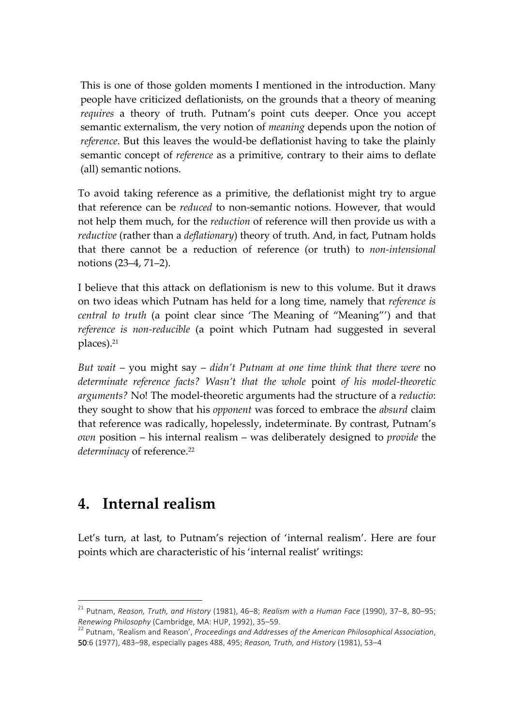This is one of those golden moments I mentioned in the introduction. Many people have criticized deflationists, on the grounds that a theory of meaning *requires* a theory of truth. Putnam's point cuts deeper. Once you accept semantic externalism, the very notion of *meaning* depends upon the notion of *reference*. But this leaves the would-be deflationist having to take the plainly semantic concept of *reference* as a primitive, contrary to their aims to deflate (all) semantic notions.

To avoid taking reference as a primitive, the deflationist might try to argue that reference can be *reduced* to non-semantic notions. However, that would not help them much, for the *reduction* of reference will then provide us with a *reductive* (rather than a *deflationary*) theory of truth. And, in fact, Putnam holds that there cannot be a reduction of reference (or truth) to *non-intensional* notions (23–4, 71–2).

I believe that this attack on deflationism is new to this volume. But it draws on two ideas which Putnam has held for a long time, namely that *reference is central to truth* (a point clear since 'The Meaning of "Meaning"') and that *reference is non-reducible* (a point which Putnam had suggested in several places). 21

*But wait* – you might say – *didn't Putnam at one time think that there were* no *determinate reference facts? Wasn't that the whole* point *of his model-theoretic arguments?* No! The model-theoretic arguments had the structure of a *reductio*: they sought to show that his *opponent* was forced to embrace the *absurd* claim that reference was radically, hopelessly, indeterminate. By contrast, Putnam's *own* position – his internal realism – was deliberately designed to *provide* the *determinacy* of reference. 22

#### **4. Internal realism**

 $\overline{a}$ 

Let's turn, at last, to Putnam's rejection of 'internal realism'. Here are four points which are characteristic of his 'internal realist' writings:

<sup>&</sup>lt;sup>21</sup> Putnam, *Reason, Truth, and History* (1981), 46–8; *Realism with a Human Face* (1990), 37–8, 80–95;

*Renewing Philosophy* (Cambridge, MA: HUP, 1992), 35–59. <br><sup>22</sup> Putnam, 'Realism and Reason', *Proceedings and Addresses of the American Philosophical Association*, 50:6 (1977), 483-98, especially pages 488, 495; Reason, Truth, and History (1981), 53-4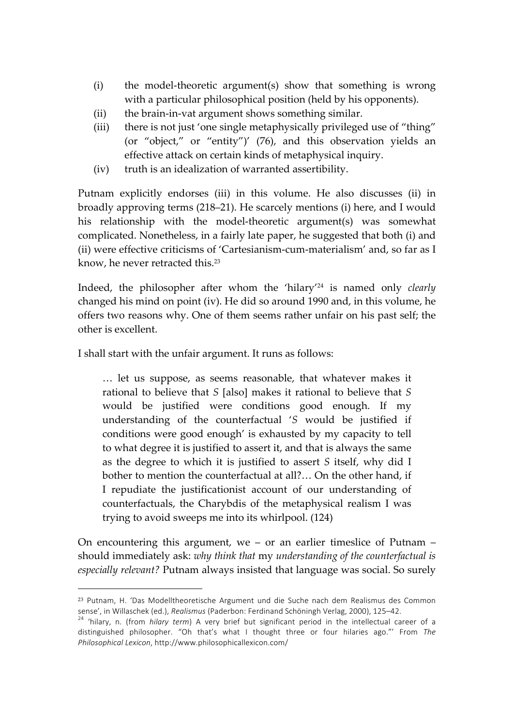- (i) the model-theoretic argument(s) show that something is wrong with a particular philosophical position (held by his opponents).
- (ii) the brain-in-vat argument shows something similar.
- (iii) there is not just 'one single metaphysically privileged use of "thing" (or "object," or "entity")' (76), and this observation yields an effective attack on certain kinds of metaphysical inquiry.
- (iv) truth is an idealization of warranted assertibility.

Putnam explicitly endorses (iii) in this volume. He also discusses (ii) in broadly approving terms (218–21). He scarcely mentions (i) here, and I would his relationship with the model-theoretic argument(s) was somewhat complicated. Nonetheless, in a fairly late paper, he suggested that both (i) and (ii) were effective criticisms of 'Cartesianism-cum-materialism' and, so far as I know, he never retracted this. 23

Indeed, the philosopher after whom the 'hilary'24 is named only *clearly* changed his mind on point (iv). He did so around 1990 and, in this volume, he offers two reasons why. One of them seems rather unfair on his past self; the other is excellent.

I shall start with the unfair argument. It runs as follows:

 $\overline{a}$ 

… let us suppose, as seems reasonable, that whatever makes it rational to believe that *S* [also] makes it rational to believe that *S* would be justified were conditions good enough. If my understanding of the counterfactual '*S* would be justified if conditions were good enough' is exhausted by my capacity to tell to what degree it is justified to assert it, and that is always the same as the degree to which it is justified to assert *S* itself, why did I bother to mention the counterfactual at all?… On the other hand, if I repudiate the justificationist account of our understanding of counterfactuals, the Charybdis of the metaphysical realism I was trying to avoid sweeps me into its whirlpool. (124)

On encountering this argument, we – or an earlier timeslice of Putnam – should immediately ask: *why think that* my *understanding of the counterfactual is especially relevant?* Putnam always insisted that language was social. So surely

<sup>&</sup>lt;sup>23</sup> Putnam, H. 'Das Modelltheoretische Argument und die Suche nach dem Realismus des Common sense', in Willaschek (ed.), Realismus (Paderbon: Ferdinand Schöningh Verlag, 2000), 125–42.<br><sup>24</sup> 'hilary, n. (from *hilary term*) A very brief but significant period in the intellectual career of a

distinguished philosopher. "Oh that's what I thought three or four hilaries ago."' From The *Philosophical Lexicon*, http://www.philosophicallexicon.com/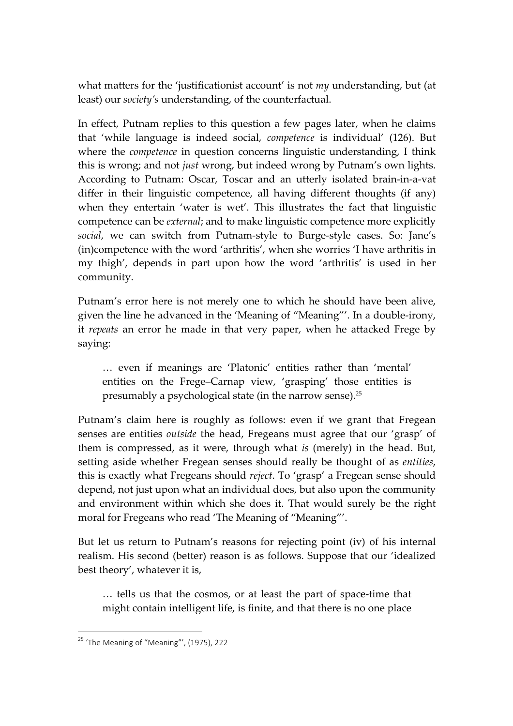what matters for the 'justificationist account' is not *my* understanding, but (at least) our *society's* understanding, of the counterfactual.

In effect, Putnam replies to this question a few pages later, when he claims that 'while language is indeed social, *competence* is individual' (126). But where the *competence* in question concerns linguistic understanding, I think this is wrong; and not *just* wrong, but indeed wrong by Putnam's own lights. According to Putnam: Oscar, Toscar and an utterly isolated brain-in-a-vat differ in their linguistic competence, all having different thoughts (if any) when they entertain 'water is wet'. This illustrates the fact that linguistic competence can be *external*; and to make linguistic competence more explicitly *social*, we can switch from Putnam-style to Burge-style cases. So: Jane's (in)competence with the word 'arthritis', when she worries 'I have arthritis in my thigh', depends in part upon how the word 'arthritis' is used in her community.

Putnam's error here is not merely one to which he should have been alive, given the line he advanced in the 'Meaning of "Meaning"'. In a double-irony, it *repeats* an error he made in that very paper, when he attacked Frege by saying:

… even if meanings are 'Platonic' entities rather than 'mental' entities on the Frege–Carnap view, 'grasping' those entities is presumably a psychological state (in the narrow sense).<sup>25</sup>

Putnam's claim here is roughly as follows: even if we grant that Fregean senses are entities *outside* the head, Fregeans must agree that our 'grasp' of them is compressed, as it were, through what *is* (merely) in the head. But, setting aside whether Fregean senses should really be thought of as *entities*, this is exactly what Fregeans should *reject*. To 'grasp' a Fregean sense should depend, not just upon what an individual does, but also upon the community and environment within which she does it. That would surely be the right moral for Fregeans who read 'The Meaning of "Meaning"'.

But let us return to Putnam's reasons for rejecting point (iv) of his internal realism. His second (better) reason is as follows. Suppose that our 'idealized best theory', whatever it is,

… tells us that the cosmos, or at least the part of space-time that might contain intelligent life, is finite, and that there is no one place

 $25$  'The Meaning of "Meaning"', (1975), 222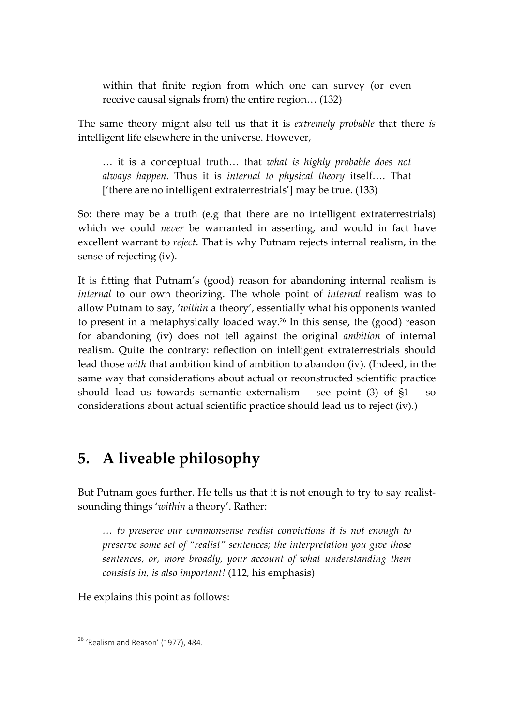within that finite region from which one can survey (or even receive causal signals from) the entire region… (132)

The same theory might also tell us that it is *extremely probable* that there *is* intelligent life elsewhere in the universe. However,

… it is a conceptual truth… that *what is highly probable does not always happen*. Thus it is *internal to physical theory* itself…. That ['there are no intelligent extraterrestrials'] may be true. (133)

So: there may be a truth (e.g that there are no intelligent extraterrestrials) which we could *never* be warranted in asserting, and would in fact have excellent warrant to *reject*. That is why Putnam rejects internal realism, in the sense of rejecting (iv).

It is fitting that Putnam's (good) reason for abandoning internal realism is *internal* to our own theorizing. The whole point of *internal* realism was to allow Putnam to say, '*within* a theory', essentially what his opponents wanted to present in a metaphysically loaded way.26 In this sense, the (good) reason for abandoning (iv) does not tell against the original *ambition* of internal realism. Quite the contrary: reflection on intelligent extraterrestrials should lead those *with* that ambition kind of ambition to abandon (iv). (Indeed, in the same way that considerations about actual or reconstructed scientific practice should lead us towards semantic externalism – see point  $(3)$  of  $§1 - so$ considerations about actual scientific practice should lead us to reject (iv).)

### **5. A liveable philosophy**

But Putnam goes further. He tells us that it is not enough to try to say realistsounding things '*within* a theory'. Rather:

*… to preserve our commonsense realist convictions it is not enough to preserve some set of "realist" sentences; the interpretation you give those sentences, or, more broadly, your account of what understanding them consists in, is also important!* (112, his emphasis)

He explains this point as follows:

 $2^6$  'Realism and Reason' (1977), 484.